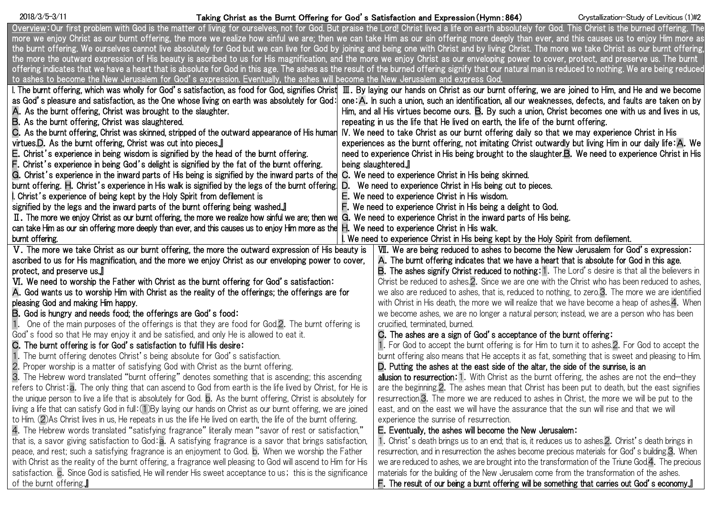### Taking Christ as the Burnt Offering for God's Satisfaction and Expression(Hymn:864) 2018/3/5-3/11 Crystallization-Study of Leviticus (1)#2

| Overview:Our first problem with God is the matter of living for ourselves, not for God. But praise the Lord! Christ lived a life on earth absolutely for God. This Christ is the burned offering. The |                                                                                                                                                                                                         |
|-------------------------------------------------------------------------------------------------------------------------------------------------------------------------------------------------------|---------------------------------------------------------------------------------------------------------------------------------------------------------------------------------------------------------|
|                                                                                                                                                                                                       | more we enjoy Christ as our burnt offering, the more we realize how sinful we are; then we can take Him as our sin offering more deeply than ever, and this causes us to enjoy Him more as              |
| the burnt offering. We ourselves cannot live absolutely for God but we can live for God by joining and being one with Christ and by living Christ. The more we take Christ as our burnt offering      |                                                                                                                                                                                                         |
|                                                                                                                                                                                                       | the more the outward expression of His beauty is ascribed to us for His magnification, and the more we enjoy Christ as our enveloping power to cover, protect, and preserve us. The burnt               |
|                                                                                                                                                                                                       | offering indicates that we have a heart that is absolute for God in this age. The ashes as the result of the burned offering signify that our natural man is reduced to nothing. We are being reduced   |
| to ashes to become the New Jerusalem for God's expression. Eventually, the ashes will become the New Jerusalem and express God.                                                                       |                                                                                                                                                                                                         |
|                                                                                                                                                                                                       | I. The burnt offering, which was wholly for God's satisfaction, as food for God, signifies Christ III. By laying our hands on Christ as our burnt offering, we are joined to Him, and He and we become  |
|                                                                                                                                                                                                       | as God's pleasure and satisfaction, as the One whose living on earth was absolutely for God:   one: A. In such a union, such an identification, all our weaknesses, defects, and faults are taken on by |
| A. As the burnt offering, Christ was brought to the slaughter.                                                                                                                                        | Him, and all His virtues become ours. B. By such a union, Christ becomes one with us and lives in us,                                                                                                   |
| <b>B.</b> As the burnt offering, Christ was slaughtered.                                                                                                                                              | repeating in us the life that He lived on earth, the life of the burnt offering.                                                                                                                        |
| C. As the burnt offering, Christ was skinned, stripped of the outward appearance of His human                                                                                                         | IV. We need to take Christ as our burnt offering daily so that we may experience Christ in His                                                                                                          |
| virtues.D. As the burnt offering, Christ was cut into pieces.                                                                                                                                         | experiences as the burnt offering, not imitating Christ outwardly but living Him in our daily life: A. We                                                                                               |
| <b>E.</b> Christ's experience in being wisdom is signified by the head of the burnt offering.                                                                                                         | need to experience Christ in His being brought to the slaughter <b>B</b> . We need to experience Christ in His                                                                                          |
| F. Christ's experience in being God's delight is signified by the fat of the burnt offering.                                                                                                          | being slaughtered.                                                                                                                                                                                      |
| G. Christ's experience in the inward parts of His being is signified by the inward parts of the C. We need to experience Christ in His being skinned.                                                 |                                                                                                                                                                                                         |
| burnt offering. H. Christ's experience in His walk is signified by the legs of the burnt offering. D. We need to experience Christ in His being cut to pieces.                                        |                                                                                                                                                                                                         |
| I. Christ's experience of being kept by the Holy Spirit from defilement is                                                                                                                            | $E$ . We need to experience Christ in His wisdom.                                                                                                                                                       |
| signified by the legs and the inward parts of the burnt offering being washed.                                                                                                                        | F. We need to experience Christ in His being a delight to God.                                                                                                                                          |
| II. The more we enjoy Christ as our burnt offering, the more we realize how sinful we are; then we G. We need to experience Christ in the inward parts of His being.                                  |                                                                                                                                                                                                         |
| can take Him as our sin offering more deeply than ever, and this causes us to enjoy Him more as the H. We need to experience Christ in His walk.                                                      |                                                                                                                                                                                                         |
| burnt offering.                                                                                                                                                                                       | I. We need to experience Christ in His being kept by the Holy Spirit from defilement.                                                                                                                   |
| V. The more we take Christ as our burnt offering, the more the outward expression of His beauty is                                                                                                    | VII. We are being reduced to ashes to become the New Jerusalem for God's expression:                                                                                                                    |
| ascribed to us for His magnification, and the more we enjoy Christ as our enveloping power to cover,<br>A. The burnt offering indicates that we have a heart that is absolute for God in this age.    |                                                                                                                                                                                                         |
| protect, and preserve us.                                                                                                                                                                             | <b>B.</b> The ashes signify Christ reduced to nothing: 1. The Lord's desire is that all the believers in                                                                                                |
| VI. We need to worship the Father with Christ as the burnt offering for God's satisfaction:                                                                                                           | Christ be reduced to ashes.2. Since we are one with the Christ who has been reduced to ashes,                                                                                                           |
| A. God wants us to worship Him with Christ as the reality of the offerings; the offerings are for                                                                                                     | we also are reduced to ashes, that is, reduced to nothing, to zero.3. The more we are identified                                                                                                        |
| pleasing God and making Him happy.                                                                                                                                                                    | with Christ in His death, the more we will realize that we have become a heap of ashes.4. When                                                                                                          |
| B. God is hungry and needs food; the offerings are God's food:                                                                                                                                        | we become ashes, we are no longer a natural person; instead, we are a person who has been                                                                                                               |
| 1. One of the main purposes of the offerings is that they are food for God.2. The burnt offering is                                                                                                   | crucified, terminated, burned.                                                                                                                                                                          |
| God's food so that He may enjoy it and be satisfied, and only He is allowed to eat it.                                                                                                                | C. The ashes are a sign of God's acceptance of the burnt offering:                                                                                                                                      |
| C. The burnt offering is for God's satisfaction to fulfill His desire:                                                                                                                                | 1. For God to accept the burnt offering is for Him to turn it to ashes.2. For God to accept the                                                                                                         |
| 1. The burnt offering denotes Christ's being absolute for God's satisfaction.                                                                                                                         | burnt offering also means that He accepts it as fat, something that is sweet and pleasing to Him.                                                                                                       |
| 2. Proper worship is a matter of satisfying God with Christ as the burnt offering.                                                                                                                    | D. Putting the ashes at the east side of the altar, the side of the sunrise, is an                                                                                                                      |
| 3. The Hebrew word translated "burnt offering" denotes something that is ascending; this ascending                                                                                                    | allusion to resurrection: 1. With Christ as the burnt offering, the ashes are not the end-they                                                                                                          |
| refers to Christ: a. The only thing that can ascend to God from earth is the life lived by Christ, for He is                                                                                          | are the beginning 2. The ashes mean that Christ has been put to death, but the east signifies                                                                                                           |
| the unique person to live a life that is absolutely for God. b. As the burnt offering, Christ is absolutely for                                                                                       | resurrection 3. The more we are reduced to ashes in Christ, the more we will be put to the                                                                                                              |
| living a life that can satisfy God in full: (1) By laying our hands on Christ as our burnt offering, we are joined                                                                                    | east, and on the east we will have the assurance that the sun will rise and that we will                                                                                                                |
| to Him. (2) As Christ lives in us, He repeats in us the life He lived on earth, the life of the burnt offering.                                                                                       | experience the sunrise of resurrection.                                                                                                                                                                 |
| 4. The Hebrew words translated "satisfying fragrance" literally mean "savor of rest or satisfaction,"                                                                                                 | E. Eventually, the ashes will become the New Jerusalem:                                                                                                                                                 |
| that is, a savor giving satisfaction to God: a. A satisfying fragrance is a savor that brings satisfaction,                                                                                           | 1. Christ's death brings us to an end; that is, it reduces us to ashes. 2. Christ's death brings in                                                                                                     |
| peace, and rest; such a satisfying fragrance is an enjoyment to God. b. When we worship the Father                                                                                                    | resurrection, and in resurrection the ashes become precious materials for God's building 3. When                                                                                                        |
| with Christ as the reality of the burnt offering, a fragrance well pleasing to God will ascend to Him for His                                                                                         | we are reduced to ashes, we are brought into the transformation of the Triune God.4. The precious                                                                                                       |
| satisfaction. c. Since God is satisfied, He will render His sweet acceptance to us; this is the significance                                                                                          | materials for the building of the New Jerusalem come from the transformation of the ashes.                                                                                                              |
| of the burnt offering.                                                                                                                                                                                | F. The result of our being a burnt offering will be something that carries out God's economy.                                                                                                           |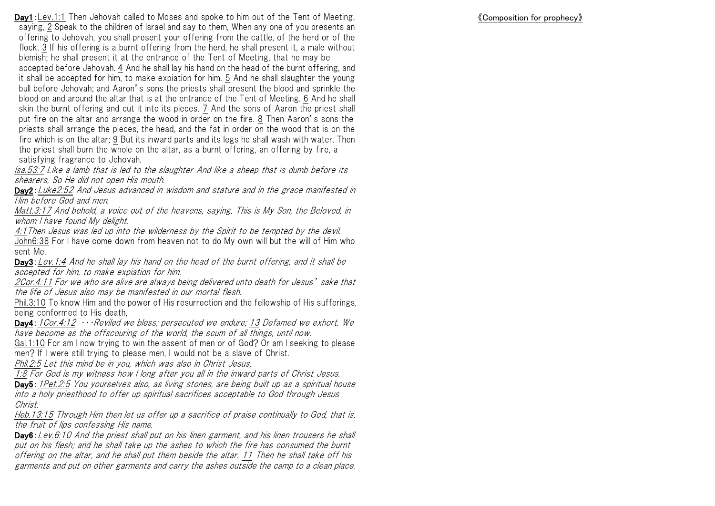《Composition for prophecy》

**Day1**: Lev.1:1 Then Jehovah called to Moses and spoke to him out of the Tent of Meeting, saying, 2 Speak to the children of Israel and say to them, When any one of you presents an offering to Jehovah, you shall present your offering from the cattle, of the herd or of the flock. 3 If his offering is a burnt offering from the herd, he shall present it, a male without blemish; he shall present it at the entrance of the Tent of Meeting, that he may be accepted before Jehovah. 4 And he shall lay his hand on the head of the burnt offering, and it shall be accepted for him, to make expiation for him. 5 And he shall slaughter the young bull before Jehovah; and Aaron's sons the priests shall present the blood and sprinkle the blood on and around the altar that is at the entrance of the Tent of Meeting. 6 And he shall skin the burnt offering and cut it into its pieces. 7 And the sons of Aaron the priest shall put fire on the altar and arrange the wood in order on the fire. 8 Then Aaron's sons the priests shall arrange the pieces, the head, and the fat in order on the wood that is on the fire which is on the altar; 9 But its inward parts and its legs he shall wash with water. Then the priest shall burn the whole on the altar, as a burnt offering, an offering by fire, a satisfying fragrance to Jehovah.

Isa.53:7 Like a lamb that is led to the slaughter And like a sheep that is dumb before its shearers, So He did not open His mouth.

Day2: Luke2:52 And Jesus advanced in wisdom and stature and in the grace manifested in Him before God and men.

Matt.3:17 And behold, a voice out of the heavens, saying, This is My Son, the Beloved, in whom I have found My delight.

4:1Then Jesus was led up into the wilderness by the Spirit to be tempted by the devil. John6:38 For I have come down from heaven not to do My own will but the will of Him who sent Me.

Day3: Lev. 1:4 And he shall lay his hand on the head of the burnt offering, and it shall be accepted for him, to make expiation for him.

2Cor.4:11 For we who are alive are always being delivered unto death for Jesus' sake that the life of Jesus also may be manifested in our mortal flesh.

Phil.3:10 To know Him and the power of His resurrection and the fellowship of His sufferings, being conformed to His death,

**Day4**: 1Cor.4:12  $\cdots$  Reviled we bless; persecuted we endure; 13 Defamed we exhort. We have become as the offscouring of the world, the scum of all things, until now.

Gal.1:10 For am I now trying to win the assent of men or of God? Or am I seeking to please men? If I were still trying to please men, I would not be a slave of Christ.

Phil.2:5 Let this mind be in you, which was also in Christ Jesus,

1:8 For God is my witness how I long after you all in the inward parts of Christ Jesus.

Day5: 1Pet.2:5 You yourselves also, as living stones, are being built up as a spiritual house into a holy priesthood to offer up spiritual sacrifices acceptable to God through Jesus Christ.

Heb.13:15 Through Him then let us offer up a sacrifice of praise continually to God, that is, the fruit of lips confessing His name.

Day6: Lev. 6:10 And the priest shall put on his linen garment, and his linen trousers he shall put on his flesh; and he shall take up the ashes to which the fire has consumed the burnt offering on the altar, and he shall put them beside the altar. 11 Then he shall take off his garments and put on other garments and carry the ashes outside the camp to a clean place.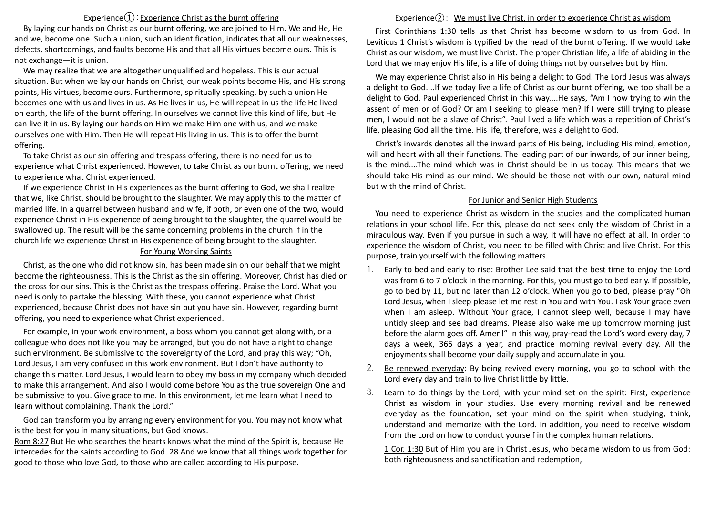# Experience $\textcircled{1}$ : Experience Christ as the burnt offering

By laying our hands on Christ as our burnt offering, we are joined to Him. We and He, He and we, become one. Such a union, such an identification, indicates that all our weaknesses, defects, shortcomings, and faults become His and that all His virtues become ours. This is not exchange—it is union.

We may realize that we are altogether unqualified and hopeless. This is our actual situation. But when we lay our hands on Christ, our weak points become His, and His strong points, His virtues, become ours. Furthermore, spiritually speaking, by such a union He becomes one with us and lives in us. As He lives in us, He will repeat in us the life He lived on earth, the life of the burnt offering. In ourselves we cannot live this kind of life, but He can live it in us. By laying our hands on Him we make Him one with us, and we make ourselves one with Him. Then He will repeat His living in us. This is to offer the burnt offering.

To take Christ as our sin offering and trespass offering, there is no need for us to experience what Christ experienced. However, to take Christ as our burnt offering, we need to experience what Christ experienced.

If we experience Christ in His experiences as the burnt offering to God, we shall realize that we, like Christ, should be brought to the slaughter. We may apply this to the matter of married life. In a quarrel between husband and wife, if both, or even one of the two, would experience Christ in His experience of being brought to the slaughter, the quarrel would be swallowed up. The result will be the same concerning problems in the church if in the church life we experience Christ in His experience of being brought to the slaughter.

#### For Young Working Saints

Christ, as the one who did not know sin, has been made sin on our behalf that we might become the righteousness. This is the Christ as the sin offering. Moreover, Christ has died on the cross for our sins. This is the Christ as the trespass offering. Praise the Lord. What you need is only to partake the blessing. With these, you cannot experience what Christ experienced, because Christ does not have sin but you have sin. However, regarding burnt offering, you need to experience what Christ experienced.

For example, in your work environment, a boss whom you cannot get along with, or a colleague who does not like you may be arranged, but you do not have a right to change such environment. Be submissive to the sovereignty of the Lord, and pray this way; "Oh, Lord Jesus, I am very confused in this work environment. But I don't have authority to change this matter. Lord Jesus, I would learn to obey my boss in my company which decided to make this arrangement. And also I would come before You as the true sovereign One and be submissive to you. Give grace to me. In this environment, let me learn what I need to learn without complaining. Thank the Lord."

God can transform you by arranging every environment for you. You may not know what is the best for you in many situations, but God knows.

Rom 8:27 But He who searches the hearts knows what the mind of the Spirit is, because He intercedes for the saints according to God. 28 And we know that all things work together for good to those who love God, to those who are called according to His purpose.

## Experience(2): We must live Christ, in order to experience Christ as wisdom

First Corinthians 1:30 tells us that Christ has become wisdom to us from God. In Leviticus 1 Christ's wisdom is typified by the head of the burnt offering. If we would take Christ as our wisdom, we must live Christ. The proper Christian life, a life of abiding in the Lord that we may enjoy His life, is a life of doing things not by ourselves but by Him.

We may experience Christ also in His being a delight to God. The Lord Jesus was always a delight to God....If we today live a life of Christ as our burnt offering, we too shall be a delight to God. Paul experienced Christ in this way....He says, "Am I now trying to win the assent of men or of God? Or am I seeking to please men? If I were still trying to please men, I would not be a slave of Christ". Paul lived a life which was a repetition of Christ's life, pleasing God all the time. His life, therefore, was a delight to God.

Christ's inwards denotes all the inward parts of His being, including His mind, emotion, will and heart with all their functions. The leading part of our inwards, of our inner being, is the mind....The mind which was in Christ should be in us today. This means that we should take His mind as our mind. We should be those not with our own, natural mind but with the mind of Christ.

## For Junior and Senior High Students

You need to experience Christ as wisdom in the studies and the complicated human relations in your school life. For this, please do not seek only the wisdom of Christ in a miraculous way. Even if you pursue in such a way, it will have no effect at all. In order to experience the wisdom of Christ, you need to be filled with Christ and live Christ. For this purpose, train yourself with the following matters.

- 1. Early to bed and early to rise: Brother Lee said that the best time to enjoy the Lord was from 6 to 7 o'clock in the morning. For this, you must go to bed early. If possible, go to bed by 11, but no later than 12 o'clock. When you go to bed, please pray "Oh Lord Jesus, when I sleep please let me rest in You and with You. I ask Your grace even when I am asleep. Without Your grace, I cannot sleep well, because I may have untidy sleep and see bad dreams. Please also wake me up tomorrow morning just before the alarm goes off. Amen!" In this way, pray-read the Lord's word every day, 7 days a week, 365 days a year, and practice morning revival every day. All the enjoyments shall become your daily supply and accumulate in you.
- 2. Be renewed everyday: By being revived every morning, you go to school with the Lord every day and train to live Christ little by little.
- 3. Learn to do things by the Lord, with your mind set on the spirit: First, experience Christ as wisdom in your studies. Use every morning revival and be renewed everyday as the foundation, set your mind on the spirit when studying, think, understand and memorize with the Lord. In addition, you need to receive wisdom from the Lord on how to conduct yourself in the complex human relations.

1 Cor. 1:30 But of Him you are in Christ Jesus, who became wisdom to us from God: both righteousness and sanctification and redemption,